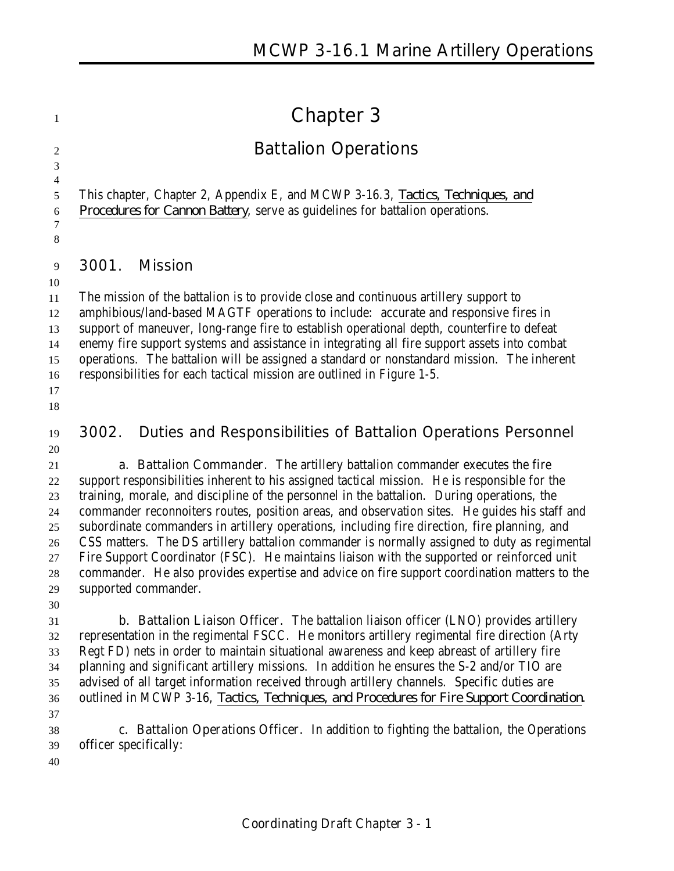# **Chapter 3**

## **Battalion Operations**

 This chapter, Chapter 2, Appendix E, and MCWP 3-16.3, *Tactics, Techniques, and Procedures for Cannon Battery*, serve as guidelines for battalion operations.

**3001. Mission**

 

 

 The mission of the battalion is to provide close and continuous artillery support to amphibious/land-based MAGTF operations to include: accurate and responsive fires in support of maneuver, long-range fire to establish operational depth, counterfire to defeat enemy fire support systems and assistance in integrating all fire support assets into combat operations. The battalion will be assigned a standard or nonstandard mission. The inherent responsibilities for each tactical mission are outlined in Figure 1-5. 

 **3002. Duties and Responsibilities of Battalion Operations Personnel** 

 **a. Battalion Commander**. The artillery battalion commander executes the fire support responsibilities inherent to his assigned tactical mission. He is responsible for the training, morale, and discipline of the personnel in the battalion. During operations, the commander reconnoiters routes, position areas, and observation sites. He guides his staff and subordinate commanders in artillery operations, including fire direction, fire planning, and CSS matters. The DS artillery battalion commander is normally assigned to duty as regimental Fire Support Coordinator (FSC). He maintains liaison with the supported or reinforced unit commander. He also provides expertise and advice on fire support coordination matters to the supported commander.

 **b. Battalion Liaison Officer**. The battalion liaison officer (LNO) provides artillery representation in the regimental FSCC. He monitors artillery regimental fire direction (Arty Regt FD) nets in order to maintain situational awareness and keep abreast of artillery fire planning and significant artillery missions. In addition he ensures the S-2 and/or TIO are advised of all target information received through artillery channels. Specific duties are outlined in MCWP 3-16, *Tactics, Techniques, and Procedures for Fire Support Coordination*. 

 **c. Battalion Operations Officer**. In addition to fighting the battalion, the Operations officer specifically: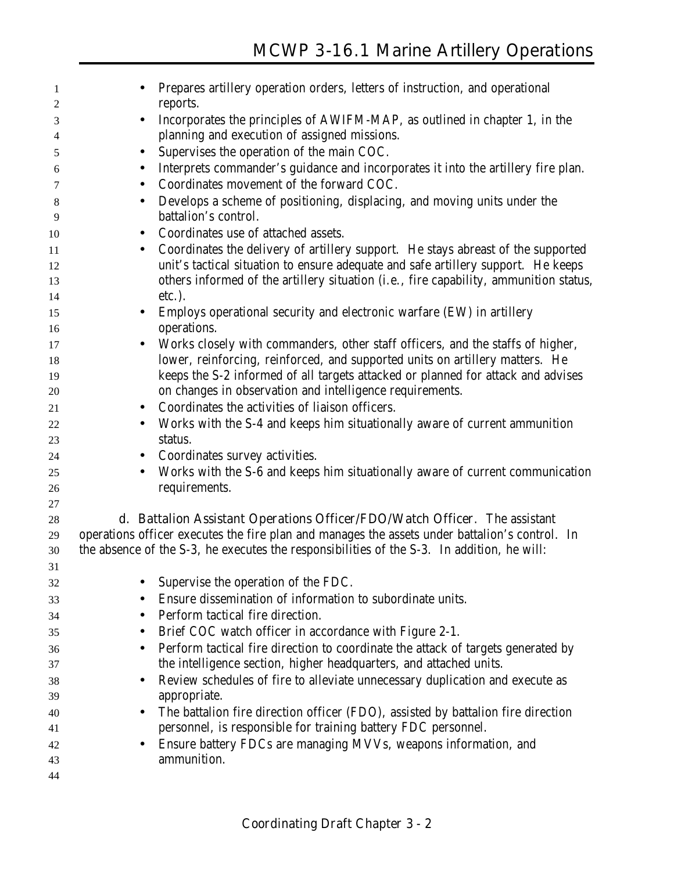| 1  | Prepares artillery operation orders, letters of instruction, and operational                   |
|----|------------------------------------------------------------------------------------------------|
| 2  | reports.                                                                                       |
| 3  | Incorporates the principles of AWIFM-MAP, as outlined in chapter 1, in the<br>$\bullet$        |
| 4  | planning and execution of assigned missions.                                                   |
| 5  | Supervises the operation of the main COC.                                                      |
| 6  | Interprets commander's guidance and incorporates it into the artillery fire plan.              |
| 7  | Coordinates movement of the forward COC.                                                       |
| 8  | Develops a scheme of positioning, displacing, and moving units under the<br>$\bullet$          |
| 9  | battalion's control.                                                                           |
| 10 | Coordinates use of attached assets.                                                            |
| 11 | Coordinates the delivery of artillery support. He stays abreast of the supported<br>$\bullet$  |
| 12 | unit's tactical situation to ensure adequate and safe artillery support. He keeps              |
| 13 | others informed of the artillery situation (i.e., fire capability, ammunition status,          |
| 14 | etc.).                                                                                         |
| 15 | Employs operational security and electronic warfare (EW) in artillery<br>$\bullet$             |
| 16 | operations.                                                                                    |
| 17 | Works closely with commanders, other staff officers, and the staffs of higher,                 |
| 18 | lower, reinforcing, reinforced, and supported units on artillery matters. He                   |
| 19 | keeps the S-2 informed of all targets attacked or planned for attack and advises               |
| 20 | on changes in observation and intelligence requirements.                                       |
| 21 | Coordinates the activities of liaison officers.<br>$\bullet$                                   |
| 22 | Works with the S-4 and keeps him situationally aware of current ammunition                     |
| 23 | status.                                                                                        |
| 24 | Coordinates survey activities.<br>$\bullet$                                                    |
| 25 | Works with the S-6 and keeps him situationally aware of current communication<br>$\bullet$     |
| 26 | requirements.                                                                                  |
| 27 |                                                                                                |
| 28 | d. Battalion Assistant Operations Officer/FDO/Watch Officer. The assistant                     |
| 29 | operations officer executes the fire plan and manages the assets under battalion's control. In |
| 30 | the absence of the S-3, he executes the responsibilities of the S-3. In addition, he will:     |
| 31 |                                                                                                |
| 32 | Supervise the operation of the FDC.                                                            |
| 33 | Ensure dissemination of information to subordinate units.                                      |
| 34 | Perform tactical fire direction.                                                               |
| 35 | Brief COC watch officer in accordance with Figure 2-1.                                         |
| 36 | Perform tactical fire direction to coordinate the attack of targets generated by               |
| 37 | the intelligence section, higher headquarters, and attached units.                             |
| 38 | Review schedules of fire to alleviate unnecessary duplication and execute as<br>$\bullet$      |
| 39 | appropriate.                                                                                   |
| 40 | The battalion fire direction officer (FDO), assisted by battalion fire direction               |
| 41 | personnel, is responsible for training battery FDC personnel.                                  |
| 42 | Ensure battery FDCs are managing MVVs, weapons information, and                                |
| 43 | ammunition.                                                                                    |
| 44 |                                                                                                |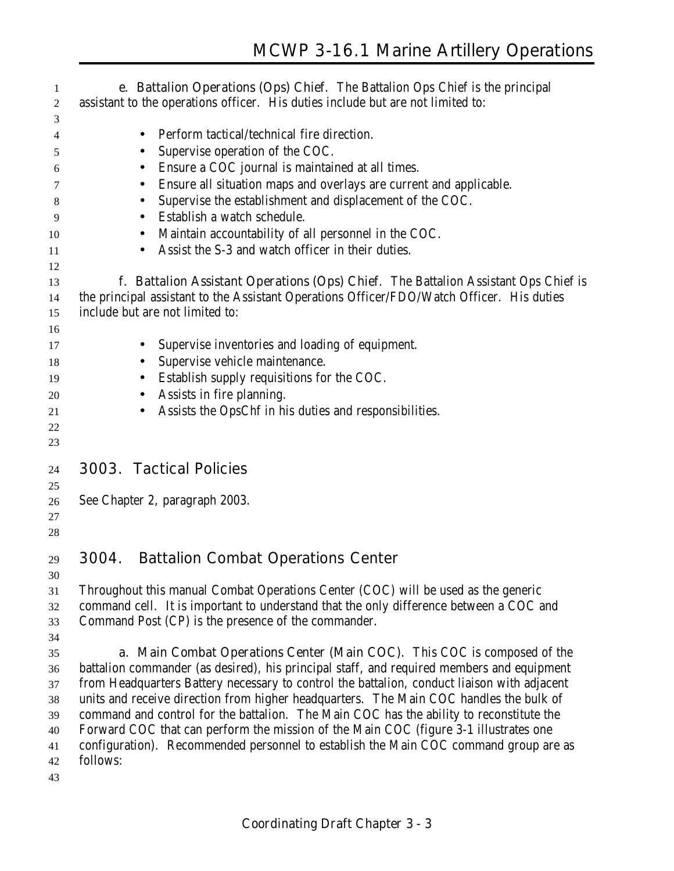**e. Battalion Operations (Ops) Chief**. The Battalion Ops Chief is the principal assistant to the operations officer. His duties include but are not limited to: • Perform tactical/technical fire direction. • Supervise operation of the COC. • Ensure a COC journal is maintained at all times. • Ensure all situation maps and overlays are current and applicable. • Supervise the establishment and displacement of the COC. • Establish a watch schedule. 10 • Maintain accountability of all personnel in the COC. 11 • Assist the S-3 and watch officer in their duties. **f. Battalion Assistant Operations (Ops) Chief**. The Battalion Assistant Ops Chief is the principal assistant to the Assistant Operations Officer/FDO/Watch Officer. His duties include but are not limited to: • Supervise inventories and loading of equipment. 18 • Supervise vehicle maintenance. • Establish supply requisitions for the COC. • Assists in fire planning. • Assists the OpsChf in his duties and responsibilities. **3003. Tactical Policies** See Chapter 2, paragraph 2003. **3004. Battalion Combat Operations Center** Throughout this manual Combat Operations Center (COC) will be used as the generic command cell. It is important to understand that the only difference between a COC and Command Post (CP) is the presence of the commander. **a. Main Combat Operations Center (Main COC)**. This COC is composed of the battalion commander (as desired), his principal staff, and required members and equipment from Headquarters Battery necessary to control the battalion, conduct liaison with adjacent units and receive direction from higher headquarters. The Main COC handles the bulk of command and control for the battalion. The Main COC has the ability to reconstitute the Forward COC that can perform the mission of the Main COC (figure 3-1 illustrates one configuration). Recommended personnel to establish the Main COC command group are as follows: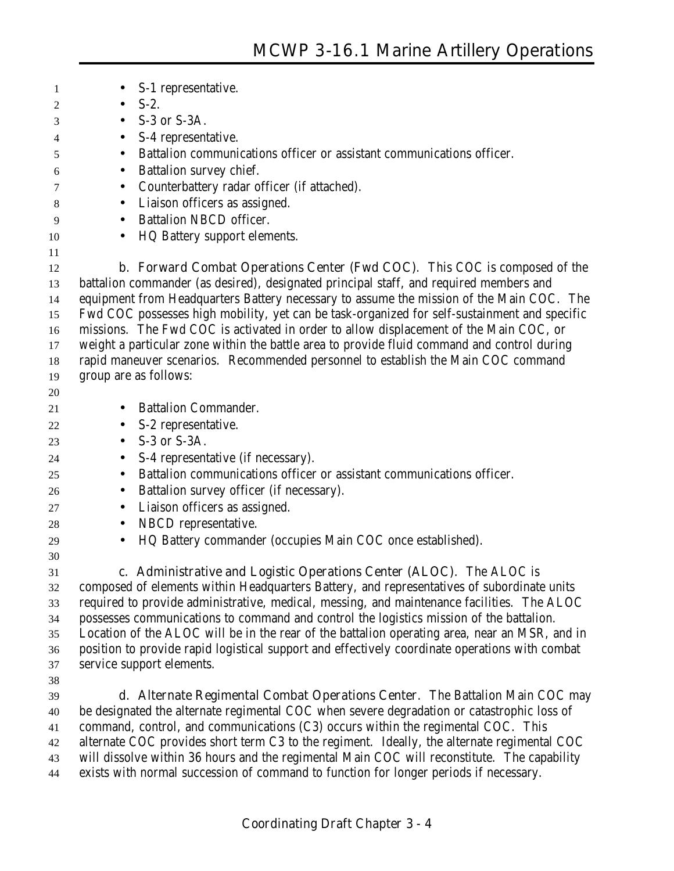| 1  | S-1 representative.<br>$\bullet$                                                               |
|----|------------------------------------------------------------------------------------------------|
| 2  | $S-2$ .<br>$\bullet$                                                                           |
| 3  | S-3 or S-3A.<br>$\bullet$                                                                      |
| 4  | S-4 representative.<br>$\bullet$                                                               |
| 5  | Battalion communications officer or assistant communications officer.<br>$\bullet$             |
| 6  | Battalion survey chief.<br>$\bullet$                                                           |
| 7  | Counterbattery radar officer (if attached).<br>$\bullet$                                       |
| 8  | Liaison officers as assigned.<br>$\bullet$                                                     |
| 9  | <b>Battalion NBCD officer.</b><br>$\bullet$                                                    |
| 10 | HQ Battery support elements.<br>$\bullet$                                                      |
| 11 |                                                                                                |
| 12 | <b>b. Forward Combat Operations Center (Fwd COC).</b> This COC is composed of the              |
| 13 | battalion commander (as desired), designated principal staff, and required members and         |
| 14 | equipment from Headquarters Battery necessary to assume the mission of the Main COC. The       |
| 15 | Fwd COC possesses high mobility, yet can be task-organized for self-sustainment and specific   |
| 16 | missions. The Fwd COC is activated in order to allow displacement of the Main COC, or          |
| 17 | weight a particular zone within the battle area to provide fluid command and control during    |
| 18 | rapid maneuver scenarios. Recommended personnel to establish the Main COC command              |
| 19 | group are as follows:                                                                          |
| 20 |                                                                                                |
| 21 | <b>Battalion Commander.</b><br>$\bullet$                                                       |
| 22 | S-2 representative.<br>$\bullet$                                                               |
| 23 | S-3 or S-3A.<br>$\bullet$                                                                      |
| 24 | S-4 representative (if necessary).<br>$\bullet$                                                |
| 25 | Battalion communications officer or assistant communications officer.<br>$\bullet$             |
| 26 | Battalion survey officer (if necessary).<br>$\bullet$                                          |
| 27 | Liaison officers as assigned.<br>$\bullet$                                                     |
| 28 | NBCD representative.<br>$\bullet$                                                              |
| 29 | HQ Battery commander (occupies Main COC once established).<br>$\bullet$                        |
| 30 |                                                                                                |
| 31 | c. Administrative and Logistic Operations Center (ALOC). The ALOC is                           |
| 32 | composed of elements within Headquarters Battery, and representatives of subordinate units     |
| 33 | required to provide administrative, medical, messing, and maintenance facilities. The ALOC     |
| 34 | possesses communications to command and control the logistics mission of the battalion.        |
| 35 | Location of the ALOC will be in the rear of the battalion operating area, near an MSR, and in  |
| 36 | position to provide rapid logistical support and effectively coordinate operations with combat |
| 37 | service support elements.                                                                      |
| 38 |                                                                                                |
| 39 | d. Alternate Regimental Combat Operations Center. The Battalion Main COC may                   |
| 40 | be designated the alternate regimental COC when severe degradation or catastrophic loss of     |
| 41 | command, control, and communications (C3) occurs within the regimental COC. This               |
| 42 | alternate COC provides short term C3 to the regiment. Ideally, the alternate regimental COC    |
| 43 | will dissolve within 36 hours and the regimental Main COC will reconstitute. The capability    |

exists with normal succession of command to function for longer periods if necessary.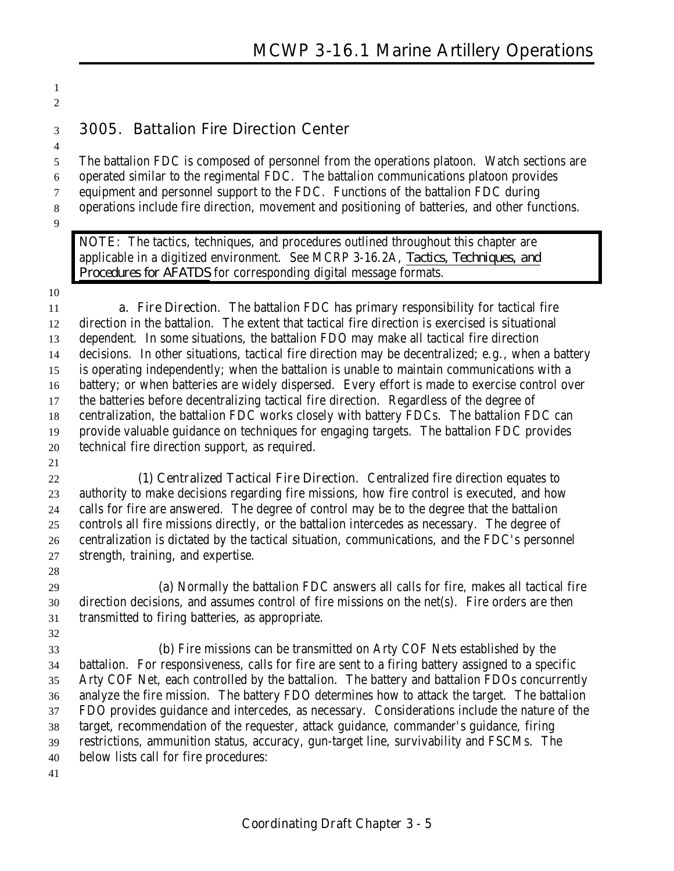## **3005. Battalion Fire Direction Center**

 The battalion FDC is composed of personnel from the operations platoon. Watch sections are operated similar to the regimental FDC. The battalion communications platoon provides equipment and personnel support to the FDC. Functions of the battalion FDC during operations include fire direction, movement and positioning of batteries, and other functions. 

**NOTE:** The tactics, techniques, and procedures outlined throughout this chapter are applicable in a digitized environment. See MCRP 3-16.2A, *Tactics, Techniques, and Procedures for AFATDS* for corresponding digital message formats.

 

 **a. Fire Direction**. The battalion FDC has primary responsibility for tactical fire direction in the battalion. The extent that tactical fire direction is exercised is situational dependent. In some situations, the battalion FDO may make all tactical fire direction decisions. In other situations, tactical fire direction may be decentralized; e.g., when a battery is operating independently; when the battalion is unable to maintain communications with a battery; or when batteries are widely dispersed. Every effort is made to exercise control over the batteries before decentralizing tactical fire direction. Regardless of the degree of centralization, the battalion FDC works closely with battery FDCs. The battalion FDC can provide valuable guidance on techniques for engaging targets. The battalion FDC provides technical fire direction support, as required.

 **(1) Centralized Tactical Fire Direction**. Centralized fire direction equates to authority to make decisions regarding fire missions, how fire control is executed, and how calls for fire are answered. The degree of control may be to the degree that the battalion controls all fire missions directly, or the battalion intercedes as necessary. The degree of centralization is dictated by the tactical situation, communications, and the FDC's personnel strength, training, and expertise.

 **(a)** Normally the battalion FDC answers all calls for fire, makes all tactical fire direction decisions, and assumes control of fire missions on the net(s). Fire orders are then transmitted to firing batteries, as appropriate.

 **(b)** Fire missions can be transmitted on Arty COF Nets established by the battalion. For responsiveness, calls for fire are sent to a firing battery assigned to a specific Arty COF Net, each controlled by the battalion. The battery and battalion FDOs concurrently analyze the fire mission. The battery FDO determines how to attack the target. The battalion FDO provides guidance and intercedes, as necessary. Considerations include the nature of the target, recommendation of the requester, attack guidance, commander's guidance, firing restrictions, ammunition status, accuracy, gun-target line, survivability and FSCMs. The below lists call for fire procedures: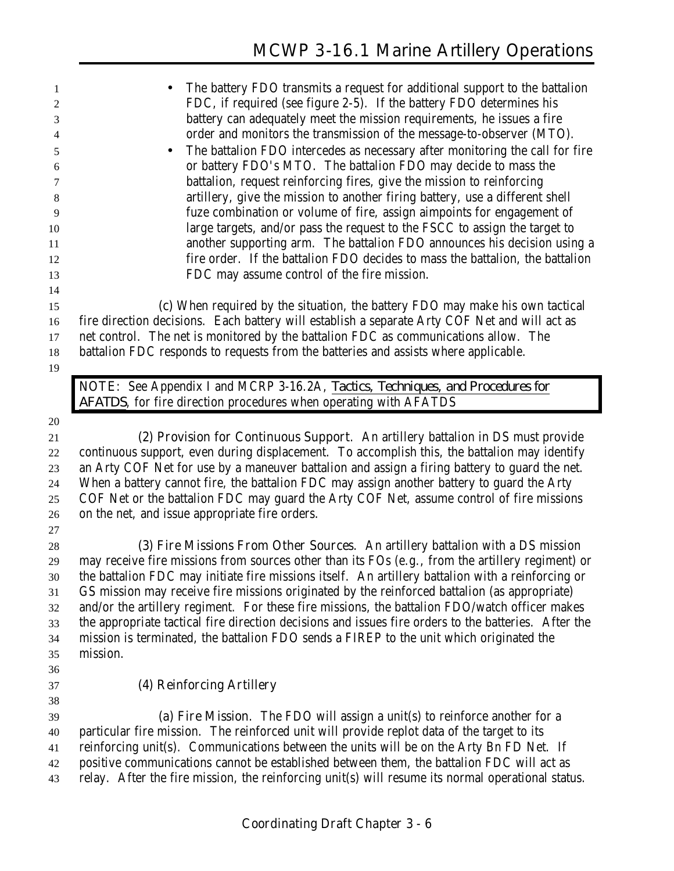| 1        | The battery FDO transmits a request for additional support to the battalion                                                                                                          |
|----------|--------------------------------------------------------------------------------------------------------------------------------------------------------------------------------------|
| 2        | FDC, if required (see figure 2-5). If the battery FDO determines his                                                                                                                 |
| 3        | battery can adequately meet the mission requirements, he issues a fire                                                                                                               |
| 4        | order and monitors the transmission of the message-to-observer (MTO).                                                                                                                |
| 5        | The battalion FDO intercedes as necessary after monitoring the call for fire<br>$\bullet$                                                                                            |
| 6        | or battery FDO's MTO. The battalion FDO may decide to mass the                                                                                                                       |
| 7        | battalion, request reinforcing fires, give the mission to reinforcing                                                                                                                |
| 8        | artillery, give the mission to another firing battery, use a different shell                                                                                                         |
| 9        | fuze combination or volume of fire, assign aimpoints for engagement of                                                                                                               |
| 10       | large targets, and/or pass the request to the FSCC to assign the target to                                                                                                           |
| 11       | another supporting arm. The battalion FDO announces his decision using a                                                                                                             |
| 12       | fire order. If the battalion FDO decides to mass the battalion, the battalion                                                                                                        |
| 13       | FDC may assume control of the fire mission.                                                                                                                                          |
| 14       |                                                                                                                                                                                      |
| 15       | (c) When required by the situation, the battery FDO may make his own tactical                                                                                                        |
| 16       | fire direction decisions. Each battery will establish a separate Arty COF Net and will act as                                                                                        |
| 17       | net control. The net is monitored by the battalion FDC as communications allow. The                                                                                                  |
| 18       | battalion FDC responds to requests from the batteries and assists where applicable.                                                                                                  |
| 19       |                                                                                                                                                                                      |
|          | NOTE: See Appendix I and MCRP 3-16.2A, Tactics, Techniques, and Procedures for                                                                                                       |
|          | AFATDS, for fire direction procedures when operating with AFATDS                                                                                                                     |
| 20       |                                                                                                                                                                                      |
| 21       | (2) Provision for Continuous Support. An artillery battalion in DS must provide                                                                                                      |
| 22       | continuous support, even during displacement. To accomplish this, the battalion may identify                                                                                         |
| 23       | an Arty COF Net for use by a maneuver battalion and assign a firing battery to guard the net.                                                                                        |
| 24       | When a battery cannot fire, the battalion FDC may assign another battery to guard the Arty                                                                                           |
| 25       | COF Net or the battalion FDC may guard the Arty COF Net, assume control of fire missions                                                                                             |
| 26       | on the net, and issue appropriate fire orders.                                                                                                                                       |
| 27       |                                                                                                                                                                                      |
| 28       | (3) Fire Missions From Other Sources. An artillery battalion with a DS mission                                                                                                       |
| 29       | may receive fire missions from sources other than its FOs (e.g., from the artillery regiment) or                                                                                     |
| 30       |                                                                                                                                                                                      |
|          | the battalion FDC may initiate fire missions itself. An artillery battalion with a reinforcing or                                                                                    |
| 31       | GS mission may receive fire missions originated by the reinforced battalion (as appropriate)                                                                                         |
| 32       | and/or the artillery regiment. For these fire missions, the battalion FDO/watch officer makes                                                                                        |
| 33       | the appropriate tactical fire direction decisions and issues fire orders to the batteries. After the                                                                                 |
| 34       | mission is terminated, the battalion FDO sends a FIREP to the unit which originated the                                                                                              |
| 35       | mission.                                                                                                                                                                             |
| 36       |                                                                                                                                                                                      |
| 37       | (4) Reinforcing Artillery                                                                                                                                                            |
| 38       |                                                                                                                                                                                      |
| 39       | (a) Fire Mission. The FDO will assign a unit(s) to reinforce another for a                                                                                                           |
| 40       | particular fire mission. The reinforced unit will provide replot data of the target to its                                                                                           |
| 41<br>42 | reinforcing unit(s). Communications between the units will be on the Arty Bn FD Net. If<br>positive communications cannot be established between them, the battalion FDC will act as |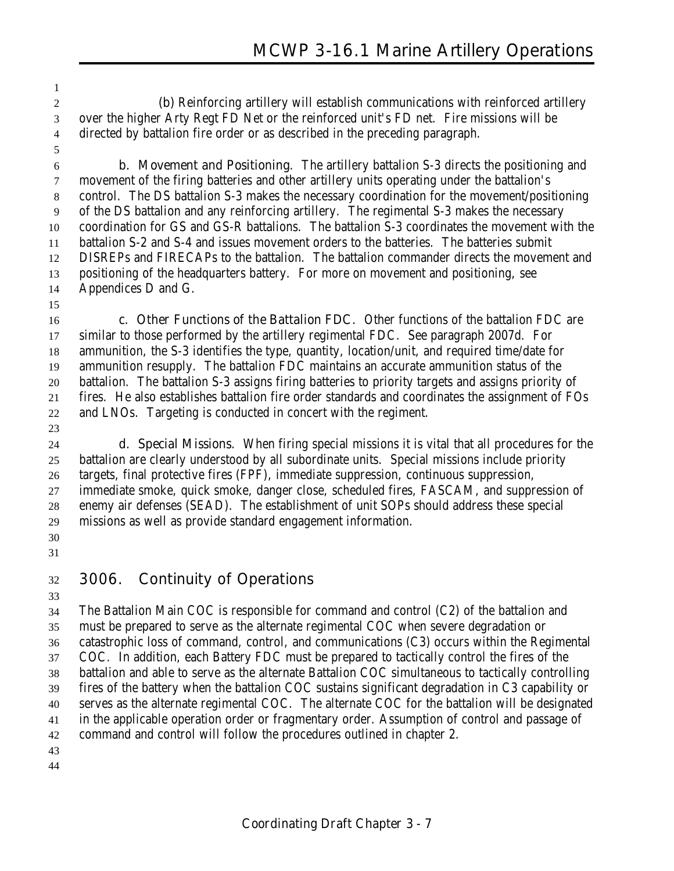**(b)** Reinforcing artillery will establish communications with reinforced artillery over the higher Arty Regt FD Net or the reinforced unit's FD net. Fire missions will be directed by battalion fire order or as described in the preceding paragraph.

 **b. Movement and Positioning**. The artillery battalion S-3 directs the positioning and movement of the firing batteries and other artillery units operating under the battalion's control. The DS battalion S-3 makes the necessary coordination for the movement/positioning of the DS battalion and any reinforcing artillery. The regimental S-3 makes the necessary coordination for GS and GS-R battalions. The battalion S-3 coordinates the movement with the battalion S-2 and S-4 and issues movement orders to the batteries. The batteries submit DISREPs and FIRECAPs to the battalion. The battalion commander directs the movement and positioning of the headquarters battery. For more on movement and positioning, see Appendices D and G.

 **c. Other Functions of the Battalion FDC**. Other functions of the battalion FDC are similar to those performed by the artillery regimental FDC. See paragraph 2007d. For ammunition, the S-3 identifies the type, quantity, location/unit, and required time/date for ammunition resupply. The battalion FDC maintains an accurate ammunition status of the battalion. The battalion S-3 assigns firing batteries to priority targets and assigns priority of fires. He also establishes battalion fire order standards and coordinates the assignment of FOs and LNOs. Targeting is conducted in concert with the regiment.

 **d. Special Missions**. When firing special missions it is vital that all procedures for the battalion are clearly understood by all subordinate units. Special missions include priority targets, final protective fires (FPF), immediate suppression, continuous suppression, immediate smoke, quick smoke, danger close, scheduled fires, FASCAM, and suppression of enemy air defenses (SEAD). The establishment of unit SOPs should address these special missions as well as provide standard engagement information. 

## **3006. Continuity of Operations**

 The Battalion Main COC is responsible for command and control (C2) of the battalion and must be prepared to serve as the alternate regimental COC when severe degradation or catastrophic loss of command, control, and communications (C3) occurs within the Regimental COC. In addition, each Battery FDC must be prepared to tactically control the fires of the battalion and able to serve as the alternate Battalion COC simultaneous to tactically controlling fires of the battery when the battalion COC sustains significant degradation in C3 capability or serves as the alternate regimental COC. The alternate COC for the battalion will be designated in the applicable operation order or fragmentary order. Assumption of control and passage of command and control will follow the procedures outlined in chapter 2.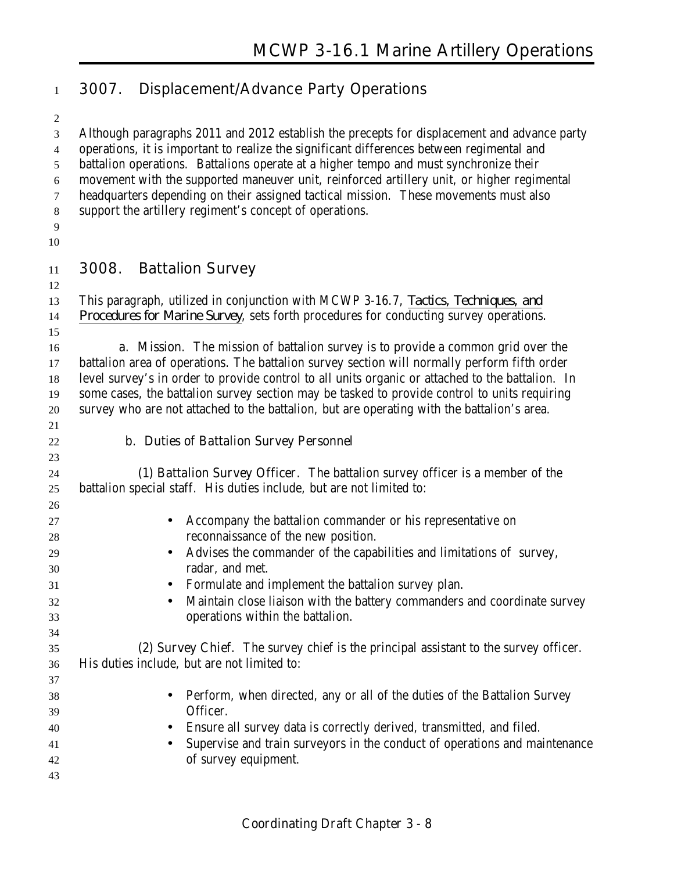## **3007. Displacement/Advance Party Operations**

 Although paragraphs 2011 and 2012 establish the precepts for displacement and advance party operations, it is important to realize the significant differences between regimental and battalion operations. Battalions operate at a higher tempo and must synchronize their movement with the supported maneuver unit, reinforced artillery unit, or higher regimental headquarters depending on their assigned tactical mission. These movements must also support the artillery regiment's concept of operations. 

- **3008. Battalion Survey**
- 

 This paragraph, utilized in conjunction with MCWP 3-16.7, *Tactics, Techniques, and Procedures for Marine Survey*, sets forth procedures for conducting survey operations.

 **a. Mission**. The mission of battalion survey is to provide a common grid over the battalion area of operations. The battalion survey section will normally perform fifth order level survey's in order to provide control to all units organic or attached to the battalion. In some cases, the battalion survey section may be tasked to provide control to units requiring survey who are not attached to the battalion, but are operating with the battalion's area.

#### **b. Duties of Battalion Survey Personnel**

 **(1) Battalion Survey Officer**. The battalion survey officer is a member of the battalion special staff. His duties include, but are not limited to:

| 27 | Accompany the battalion commander or his representative on                            |
|----|---------------------------------------------------------------------------------------|
| 28 | reconnaissance of the new position.                                                   |
| 29 | • Advises the commander of the capabilities and limitations of survey,                |
| 30 | radar, and met.                                                                       |
| 31 | Formulate and implement the battalion survey plan.                                    |
| 32 | Maintain close liaison with the battery commanders and coordinate survey<br>$\bullet$ |
| 33 | operations within the battalion.                                                      |
| 34 |                                                                                       |
| 35 | (2) Survey Chief. The survey chief is the principal assistant to the survey officer.  |
| 36 | His duties include, but are not limited to:                                           |
| 37 |                                                                                       |
| 38 | Perform, when directed, any or all of the duties of the Battalion Survey<br>$\bullet$ |
| 39 | Officer.                                                                              |
| 40 | Ensure all survey data is correctly derived, transmitted, and filed.                  |
| 41 | Supervise and train surveyors in the conduct of operations and maintenance            |
| 42 | of survey equipment.                                                                  |
| 43 |                                                                                       |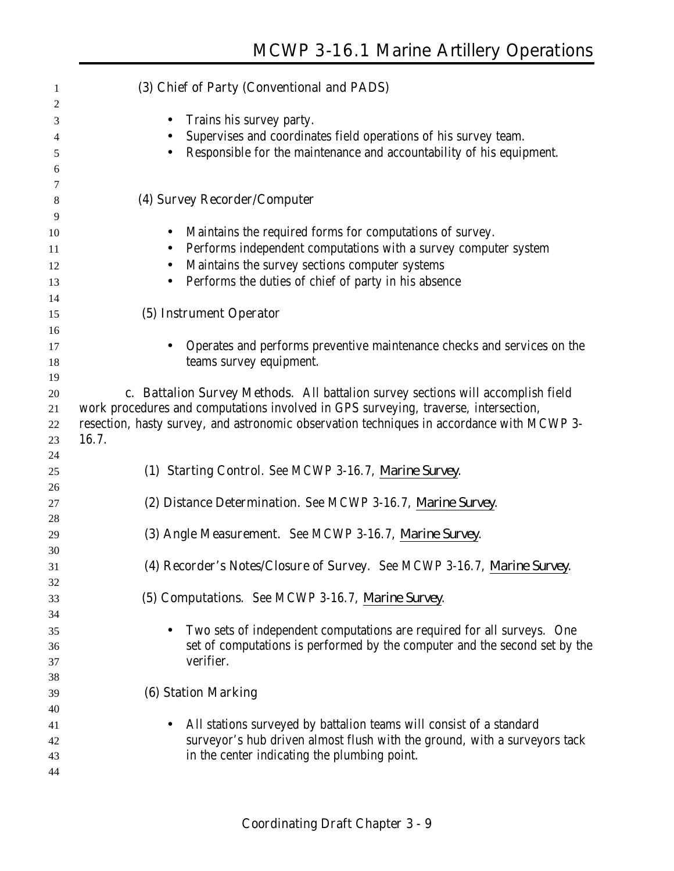| 1        | (3) Chief of Party (Conventional and PADS)                                                         |
|----------|----------------------------------------------------------------------------------------------------|
| 2        |                                                                                                    |
| 3        | Trains his survey party.<br>$\bullet$                                                              |
| 4        | Supervises and coordinates field operations of his survey team.                                    |
| 5        | Responsible for the maintenance and accountability of his equipment.                               |
| 6        |                                                                                                    |
| 7        |                                                                                                    |
| $\,8\,$  | (4) Survey Recorder/Computer                                                                       |
| 9        |                                                                                                    |
| 10       | Maintains the required forms for computations of survey.<br>$\bullet$                              |
| 11       | Performs independent computations with a survey computer system<br>$\bullet$                       |
| 12       | Maintains the survey sections computer systems<br>$\bullet$                                        |
| 13       | Performs the duties of chief of party in his absence<br>$\bullet$                                  |
| 14       |                                                                                                    |
| 15       | (5) Instrument Operator                                                                            |
| 16       |                                                                                                    |
| 17<br>18 | Operates and performs preventive maintenance checks and services on the<br>teams survey equipment. |
| 19       |                                                                                                    |
| 20       | c. Battalion Survey Methods. All battalion survey sections will accomplish field                   |
| 21       | work procedures and computations involved in GPS surveying, traverse, intersection,                |
| 22       | resection, hasty survey, and astronomic observation techniques in accordance with MCWP 3-          |
| 23       | 16.7.                                                                                              |
| 24       |                                                                                                    |
| 25       | (1) Starting Control. See MCWP 3-16.7, Marine Survey.                                              |
| 26       |                                                                                                    |
| 27       | (2) Distance Determination. See MCWP 3-16.7, Marine Survey.                                        |
| 28       |                                                                                                    |
| 29       | (3) Angle Measurement. See MCWP 3-16.7, Marine Survey.                                             |
| 30       |                                                                                                    |
| 31       | (4) Recorder's Notes/Closure of Survey. See MCWP 3-16.7, Marine Survey.                            |
| 32       |                                                                                                    |
| 33       | (5) Computations. See MCWP 3-16.7, Marine Survey.                                                  |
| 34       |                                                                                                    |
| 35       | Two sets of independent computations are required for all surveys. One<br>$\bullet$                |
| 36       | set of computations is performed by the computer and the second set by the                         |
| 37       | verifier.                                                                                          |
| 38       |                                                                                                    |
| 39       | <b>(6) Station Marking</b>                                                                         |
| 40       |                                                                                                    |
| 41       | All stations surveyed by battalion teams will consist of a standard<br>$\bullet$                   |
| 42       | surveyor's hub driven almost flush with the ground, with a surveyors tack                          |
| 43       | in the center indicating the plumbing point.                                                       |
| 44       |                                                                                                    |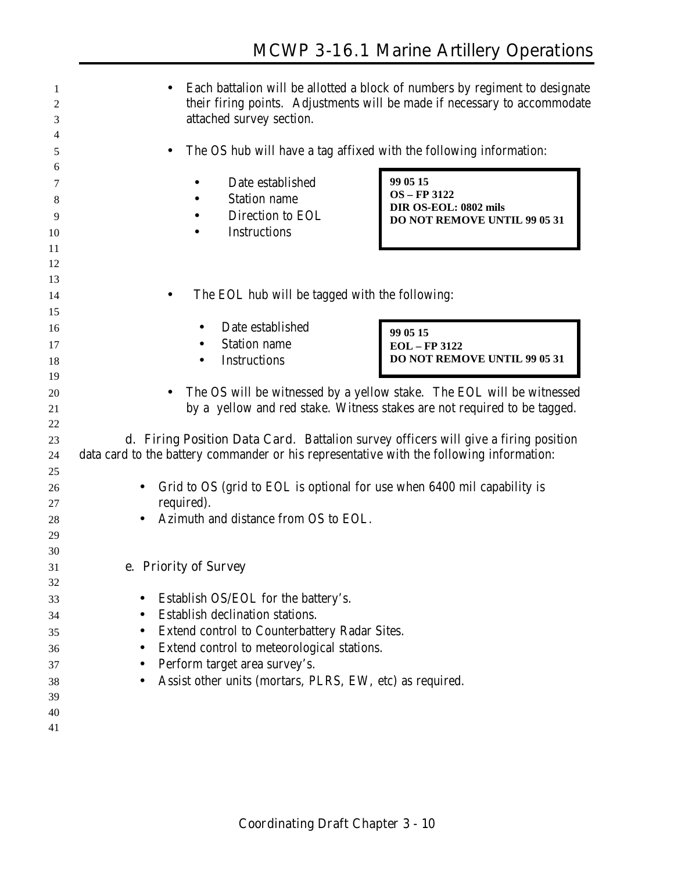| 1<br>2<br>3 | Each battalion will be allotted a block of numbers by regiment to designate<br>their firing points. Adjustments will be made if necessary to accommodate<br>attached survey section. |
|-------------|--------------------------------------------------------------------------------------------------------------------------------------------------------------------------------------|
| 4<br>5      | The OS hub will have a tag affixed with the following information:                                                                                                                   |
| 6           |                                                                                                                                                                                      |
| 7           | 99 05 15<br>Date established                                                                                                                                                         |
| 8           | <b>OS</b> - FP 3122<br><b>Station name</b>                                                                                                                                           |
| 9           | DIR OS-EOL: 0802 mils<br>Direction to EOL<br>DO NOT REMOVE UNTIL 99 05 31                                                                                                            |
| 10          | <b>Instructions</b>                                                                                                                                                                  |
| 11          |                                                                                                                                                                                      |
| 12          |                                                                                                                                                                                      |
| 13          |                                                                                                                                                                                      |
| 14          | The EOL hub will be tagged with the following:                                                                                                                                       |
| 15          |                                                                                                                                                                                      |
| 16          | Date established<br>99 05 15                                                                                                                                                         |
| 17          | <b>Station name</b><br><b>EOL</b> - FP 3122                                                                                                                                          |
| 18          | DO NOT REMOVE UNTIL 99 05 31<br><b>Instructions</b>                                                                                                                                  |
| 19          |                                                                                                                                                                                      |
| 20          | The OS will be witnessed by a yellow stake. The EOL will be witnessed                                                                                                                |
| 21          | by a yellow and red stake. Witness stakes are not required to be tagged.                                                                                                             |
| 22          |                                                                                                                                                                                      |
| 23          | <b>d. Firing Position Data Card.</b> Battalion survey officers will give a firing position                                                                                           |
| 24          | data card to the battery commander or his representative with the following information:                                                                                             |
| 25          |                                                                                                                                                                                      |
| 26<br>27    | Grid to OS (grid to EOL is optional for use when 6400 mil capability is<br>required).                                                                                                |
| 28          | Azimuth and distance from OS to EOL.                                                                                                                                                 |
| 29          |                                                                                                                                                                                      |
| 30          |                                                                                                                                                                                      |
| 31          | e. Priority of Survey                                                                                                                                                                |
| 32          |                                                                                                                                                                                      |
| 33          | Establish OS/EOL for the battery's.                                                                                                                                                  |
| 34          | Establish declination stations.                                                                                                                                                      |
| 35          | Extend control to Counterbattery Radar Sites.                                                                                                                                        |
| 36          | Extend control to meteorological stations.                                                                                                                                           |
| 37          | Perform target area survey's.                                                                                                                                                        |
| 38          | Assist other units (mortars, PLRS, EW, etc) as required.                                                                                                                             |
| 39          |                                                                                                                                                                                      |
| 40          |                                                                                                                                                                                      |
| 41          |                                                                                                                                                                                      |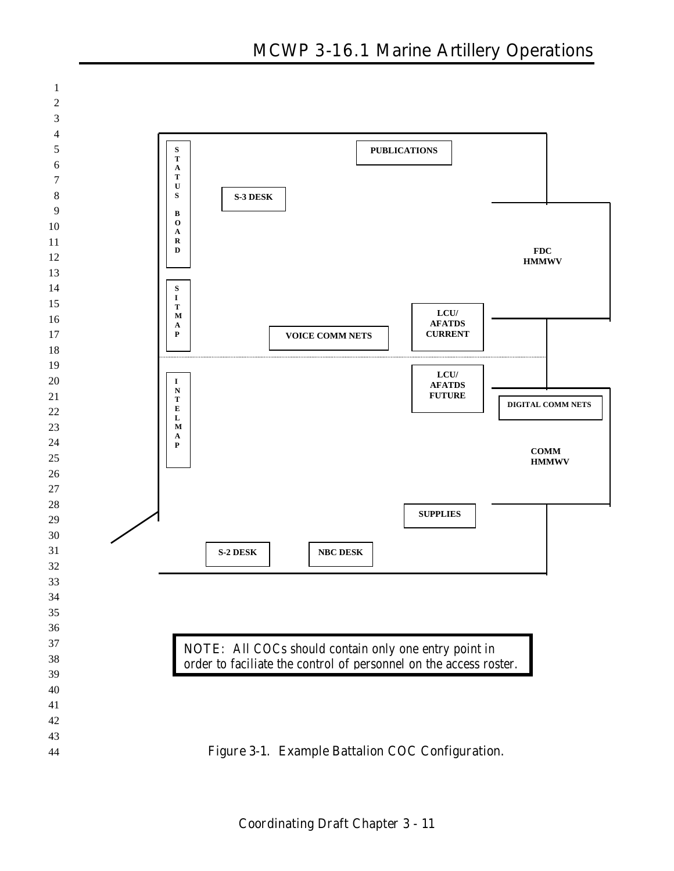